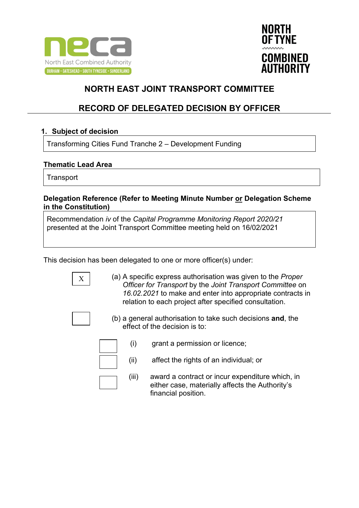



### **RECORD OF DELEGATED DECISION BY OFFICER**

### **1. Subject of decision**

Transforming Cities Fund Tranche 2 – Development Funding

### **Thematic Lead Area**

**Transport** 

#### **Delegation Reference (Refer to Meeting Minute Number or Delegation Scheme in the Constitution)**

Recommendation *iv* of the *Capital Programme Monitoring Report 2020/21* presented at the Joint Transport Committee meeting held on 16/02/2021

This decision has been delegated to one or more officer(s) under:

|--|

(a) A specific express authorisation was given to the *Proper Officer for Transport* by the *Joint Transport Committee* on *16.02.2021* to make and enter into appropriate contracts in relation to each project after specified consultation.



(b) a general authorisation to take such decisions **and**, the effect of the decision is to:

- (i) grant a permission or licence;
- (ii) affect the rights of an individual; or
- (iii) award a contract or incur expenditure which, in either case, materially affects the Authority's financial position.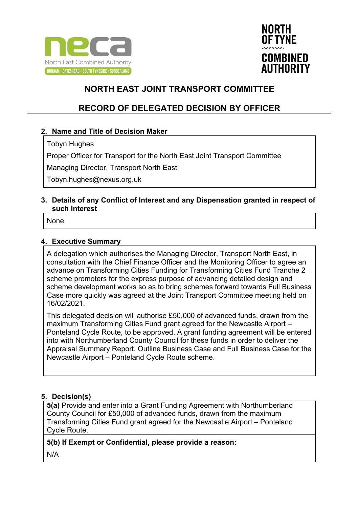



## **RECORD OF DELEGATED DECISION BY OFFICER**

### **2. Name and Title of Decision Maker**

Tobyn Hughes

Proper Officer for Transport for the North East Joint Transport Committee

Managing Director, Transport North East

Tobyn.hughes@nexus.org.uk

#### **3. Details of any Conflict of Interest and any Dispensation granted in respect of such Interest**

None

#### **4. Executive Summary**

A delegation which authorises the Managing Director, Transport North East, in consultation with the Chief Finance Officer and the Monitoring Officer to agree an advance on Transforming Cities Funding for Transforming Cities Fund Tranche 2 scheme promoters for the express purpose of advancing detailed design and scheme development works so as to bring schemes forward towards Full Business Case more quickly was agreed at the Joint Transport Committee meeting held on 16/02/2021.

This delegated decision will authorise £50,000 of advanced funds, drawn from the maximum Transforming Cities Fund grant agreed for the Newcastle Airport – Ponteland Cycle Route, to be approved. A grant funding agreement will be entered into with Northumberland County Council for these funds in order to deliver the Appraisal Summary Report, Outline Business Case and Full Business Case for the Newcastle Airport – Ponteland Cycle Route scheme.

### **5. Decision(s)**

**5(a)** Provide and enter into a Grant Funding Agreement with Northumberland County Council for £50,000 of advanced funds, drawn from the maximum Transforming Cities Fund grant agreed for the Newcastle Airport – Ponteland Cycle Route.

### **5(b) If Exempt or Confidential, please provide a reason:**

N/A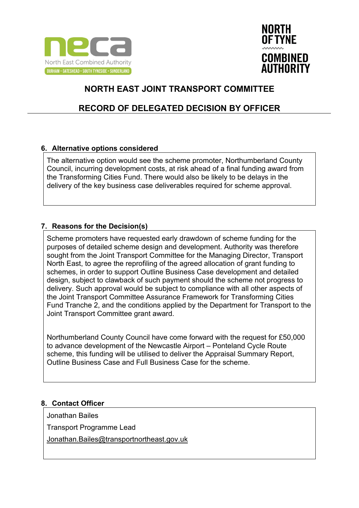



## **RECORD OF DELEGATED DECISION BY OFFICER**

### **6. Alternative options considered**

The alternative option would see the scheme promoter, Northumberland County Council, incurring development costs, at risk ahead of a final funding award from the Transforming Cities Fund. There would also be likely to be delays in the delivery of the key business case deliverables required for scheme approval.

### **7. Reasons for the Decision(s)**

Scheme promoters have requested early drawdown of scheme funding for the purposes of detailed scheme design and development. Authority was therefore sought from the Joint Transport Committee for the Managing Director, Transport North East, to agree the reprofiling of the agreed allocation of grant funding to schemes, in order to support Outline Business Case development and detailed design, subject to clawback of such payment should the scheme not progress to delivery. Such approval would be subject to compliance with all other aspects of the Joint Transport Committee Assurance Framework for Transforming Cities Fund Tranche 2, and the conditions applied by the Department for Transport to the Joint Transport Committee grant award.

Northumberland County Council have come forward with the request for £50,000 to advance development of the Newcastle Airport – Ponteland Cycle Route scheme, this funding will be utilised to deliver the Appraisal Summary Report, Outline Business Case and Full Business Case for the scheme.

### **8. Contact Officer**

Jonathan Bailes

Transport Programme Lead

[Jonathan.Bailes@transportnortheast.gov.uk](mailto:Jonathan.Bailes@transportnortheast.gov.uk)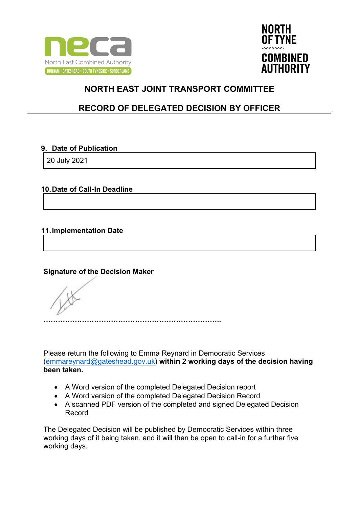



## **RECORD OF DELEGATED DECISION BY OFFICER**

### **9. Date of Publication**

20 July 2021

### **10.Date of Call-In Deadline**

### **11.Implementation Date**

### **Signature of the Decision Maker**

**………………………………………………………………..**

Please return the following to Emma Reynard in Democratic Services [\(emmareynard@gateshead.gov.uk\)](mailto:emmareynard@gateshead.gov.uk) **within 2 working days of the decision having been taken.**

- A Word version of the completed Delegated Decision report
- A Word version of the completed Delegated Decision Record
- A scanned PDF version of the completed and signed Delegated Decision Record

The Delegated Decision will be published by Democratic Services within three working days of it being taken, and it will then be open to call-in for a further five working days.